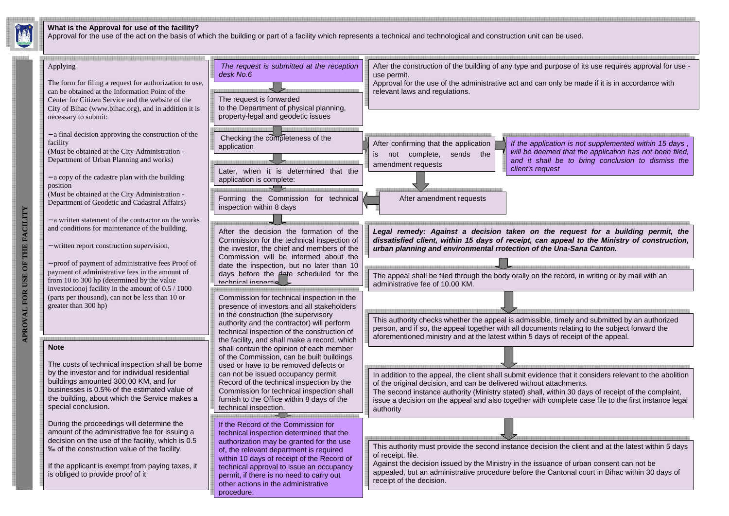#### **What is the Approval for use of the facility?**

Approval for the use of the act on the basis of which the building or part of a facility which represents a technical and technological and construction unit can be used.



and it shall be to bring conclusion to dismiss the